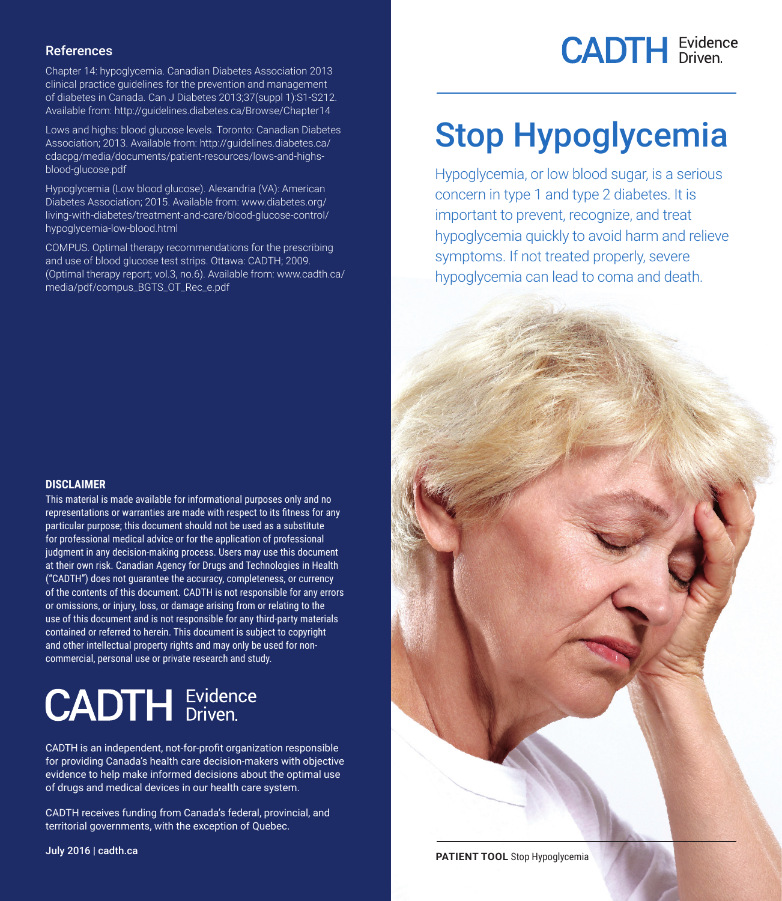#### References

Chapter 14: hypoglycemia. Canadian Diabetes Association 2013 clinical practice guidelines for the prevention and management of diabetes in Canada. Can J Diabetes 2013;37(suppl 1):S1-S212. Available from: http://guidelines.diabetes.ca/Browse/Chapter14

Lows and highs: blood glucose levels. Toronto: Canadian Diabetes Association; 2013. Available from: http://guidelines.diabetes.ca/ cdacpg/media/documents/patient-resources/lows-and-highsblood-glucose.pdf

Hypoglycemia (Low blood glucose). Alexandria (VA): American Diabetes Association; 2015. Available from: www.diabetes.org/ living-with-diabetes/treatment-and-care/blood-glucose-control/ hypoglycemia-low-blood.html

COMPUS. Optimal therapy recommendations for the prescribing and use of blood glucose test strips. Ottawa: CADTH; 2009. (Optimal therapy report; vol.3, no.6). Available from: www.cadth.ca/ media/pdf/compus\_BGTS\_OT\_Rec\_e.pdf

#### **DISCLAIMER**

This material is made available for informational purposes only and no representations or warranties are made with respect to its fitness for any particular purpose; this document should not be used as a substitute for professional medical advice or for the application of professional judgment in any decision-making process. Users may use this document at their own risk. Canadian Agency for Drugs and Technologies in Health ("CADTH") does not guarantee the accuracy, completeness, or currency of the contents of this document. CADTH is not responsible for any errors or omissions, or injury, loss, or damage arising from or relating to the use of this document and is not responsible for any third-party materials contained or referred to herein. This document is subject to copyright and other intellectual property rights and may only be used for noncommercial, personal use or private research and study.

# **CADTH** Evidence

CADTH is an independent, not-for-profit organization responsible for providing Canada's health care decision-makers with objective evidence to help make informed decisions about the optimal use of drugs and medical devices in our health care system.

CADTH receives funding from Canada's federal, provincial, and territorial governments, with the exception of Quebec.

July 2016 | cadth.ca



## Stop Hypoglycemia

Hypoglycemia, or low blood sugar, is a serious concern in type 1 and type 2 diabetes. It is important to prevent, recognize, and treat hypoglycemia quickly to avoid harm and relieve symptoms. If not treated properly, severe hypoglycemia can lead to coma and death.

**PATIENT TOOL Stop Hypoglycemia**